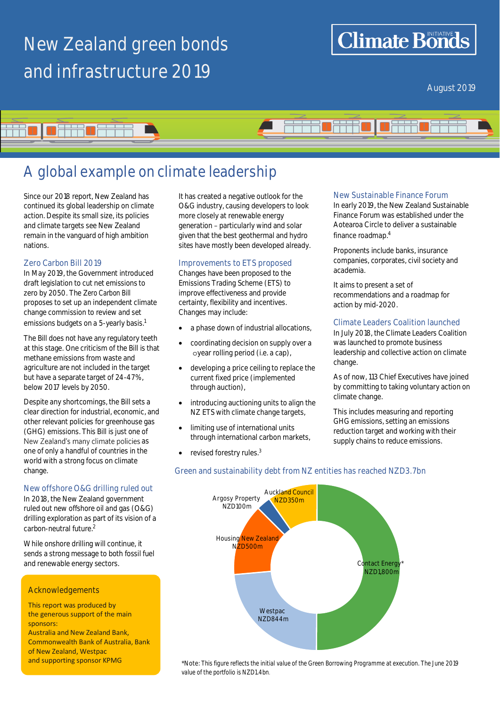# **New Zealand green bonds and infrastructure 2019**

## **Climate Bonds**

August 2019



### **A global example on climate leadership**

Since our 2018 report, New Zealand has continued its global leadership on climate action. Despite its small size, its policies and climate targets see New Zealand remain in the vanguard of high ambition nations.

### **Zero Carbon Bill 2019**

In May 2019, the Government introduced draft legislation to cut net emissions to zero by 2050. The Z*ero Carbon Bill* proposes to set up an independent climate change commission to review and set emissions budgets on a 5-yearly basis.<sup>1</sup>

The Bill does not have any regulatory teeth at this stage. One criticism of the Bill is that methane emissions from waste and agriculture are not included in the target but have a separate target of 24-47%, below 2017 levels by 2050.

Despite any shortcomings, the Bill sets a clear direction for industrial, economic, and other relevant policies for greenhouse gas (GHG) emissions. This Bill is just one of New Zealand's many climate policies as one of only a handful of countries in the world with a strong focus on climate change.

### **New offshore O&G drilling ruled out**

In 2018, the New Zealand government ruled out new offshore oil and gas (O&G) drilling exploration as part of its vision of a carbon-neutral future.<sup>2</sup>

While onshore drilling will continue, it sends a strong message to both fossil fuel and renewable energy sectors.

### **Acknowledgements**

This report was produced by the generous support of the main sponsors:

Australia and New Zealand Bank, Commonwealth Bank of Australia, Bank of New Zealand, Westpac and supporting sponsor KPMG

It has created a negative outlook for the O&G industry, causing developers to look more closely at renewable energy generation - particularly wind and solar given that the best geothermal and hydro sites have mostly been developed already.

### **Improvements to ETS proposed**

Changes have been proposed to the Emissions Trading Scheme (ETS) to improve effectiveness and provide certainty, flexibility and incentives. Changes may include:

- a phase down of industrial allocations,
- coordinating decision on supply over a oyear rolling period (i.e. a cap),
- developing a price ceiling to replace the current fixed price (implemented through auction),
- introducing auctioning units to align the NZ ETS with climate change targets,
- limiting use of international units through international carbon markets,
- revised forestry rules.<sup>3</sup>

### **New Sustainable Finance Forum**

In early 2019, the New Zealand Sustainable Finance Forum was established under the Aotearoa Circle to deliver a sustainable finance roadmap.<sup>4</sup>

Proponents include banks, insurance companies, corporates, civil society and academia.

It aims to present a set of recommendations and a roadmap for action by mid-2020.

### **Climate Leaders Coalition launched**

In July 2018, the Climate Leaders Coalition was launched to promote business leadership and collective action on climate change.

As of now, 113 Chief Executives have joined by committing to taking voluntary action on climate change.

This includes measuring and reporting GHG emissions, setting an emissions reduction target and working with their supply chains to reduce emissions.



\***Note**: *This figure reflects the initial value of the Green Borrowing Programme at execution. The June 2019 value of the portfolio is NZD1.4bn*.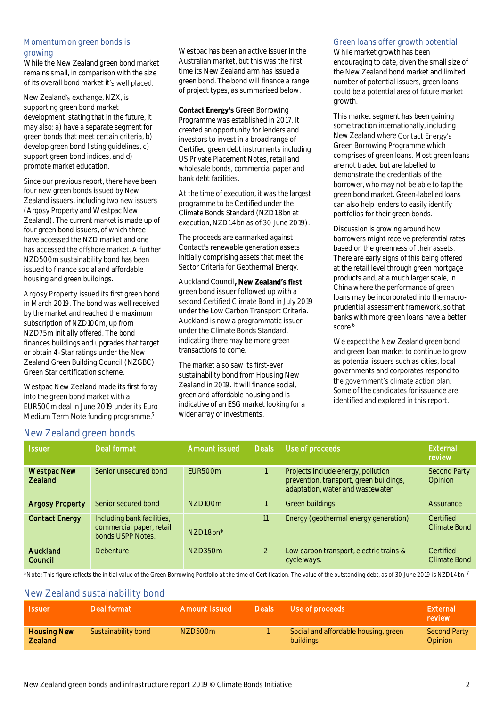### **Momentum on green bonds is growing**

While the New Zealand green bond market remains small, in comparison with the size of its overall bond market it's well placed.

New Zealand's exchange, NZX, is supporting green bond market development, stating that in the future, it may also: a) have a separate segment for green bonds that meet certain criteria, b) develop green bond listing guidelines, c) support green bond indices, and d) promote market education.

Since our previous report, there have been four new green bonds issued by New Zealand issuers, including two new issuers (Argosy Property and Westpac New Zealand). The current market is made up of four green bond issuers, of which three have accessed the NZD market and one has accessed the offshore market. A further NZD500m sustainability bond has been issued to finance social and affordable housing and green buildings.

**Argosy Property** issued its first green bond in March 2019. The bond was well received by the market and reached the maximum subscription of NZD100m, up from NZD75m initially offered. The bond finances buildings and upgrades that target or obtain 4-Star ratings under the New Zealand Green Building Council (NZGBC) Green Star certification scheme.

**Westpac New Zealand** made its first foray into the green bond market with a EUR500m deal in June 2019 under its Euro Medium Term Note funding programme. 5

Westpac has been an active issuer in the Australian market, but this was the first time its New Zealand arm has issued a green bond. The bond will finance a range of project types, as summarised below.

**Contact Energy's Green Borrowing** Programme was established in 2017. It created an opportunity for lenders and investors to invest in a broad range of Certified green debt instruments including US Private Placement Notes, retail and wholesale bonds, commercial paper and bank debt facilities.

At the time of execution, it was the largest programme to be Certified under the Climate Bonds Standard (NZD1.8bn at execution, NZD1.4bn as of 30 June 2019).

The proceeds are earmarked against Contact's renewable generation assets initially comprising assets that meet the Sector Criteria for Geothermal Energy.

Auckland Council, **New Zealand's first green bond issuer followed up with a second** Certified Climate Bond in July 2019 under the Low Carbon Transport Criteria. Auckland is now a programmatic issuer under the Climate Bonds Standard, indicating there may be more green transactions to come.

The market also saw its first-ever sustainability bond from **Housing New Zealand** in 2019. It will finance social, green and affordable housing and is indicative of an ESG market looking for a wider array of investments.

### **Green loans offer growth potential**

While market growth has been encouraging to date, given the small size of the New Zealand bond market and limited number of potential issuers, green loans could be a potential area of future market growth.

This market segment has been gaining some traction internationally, including New Zealand where Contact Energy's Green Borrowing Programme which comprises of green loans. Most green loans are not traded but are labelled to demonstrate the credentials of the borrower, who may not be able to tap the green bond market. Green-labelled loans can also help lenders to easily identify portfolios for their green bonds.

Discussion is growing around how borrowers might receive preferential rates based on the greenness of their assets. There are early signs of this being offered at the retail level through green mortgage products and, at a much larger scale, in China where the performance of green loans may be incorporated into the macroprudential assessment framework, so that banks with more green loans have a better score. 6

We expect the New Zealand green bond and green loan market to continue to grow as potential issuers such as cities, local governments and corporates respond to<br>the government's climate action plan. Some of the candidates for issuance are identified and explored in this report.

### **New Zealand green bonds**

| <b>Issuer</b>                        | Deal format                                                                 | <b>Amount issued</b> | <b>Deals</b>  | Use of proceeds                                                                                                   | External<br>review        |
|--------------------------------------|-----------------------------------------------------------------------------|----------------------|---------------|-------------------------------------------------------------------------------------------------------------------|---------------------------|
| <b>Westpac New</b><br><b>Zealand</b> | Senior unsecured bond                                                       | EUR500m              |               | Projects include energy, pollution<br>prevention, transport, green buildings,<br>adaptation, water and wastewater | Second Party<br>Opinion   |
| <b>Argosy Property</b>               | Senior secured bond                                                         | N7D100m              |               | Green buildings                                                                                                   | Assurance                 |
| <b>Contact Energy</b>                | Including bank facilities,<br>commercial paper, retail<br>bonds USPP Notes. | N7D1.8bn*            | 11            | Energy (geothermal energy generation)                                                                             | Certified<br>Climate Bond |
| Auckland<br>Council                  | <b>Debenture</b>                                                            | N7D350m              | $\mathcal{L}$ | Low carbon transport, electric trains &<br>cycle ways.                                                            | Certified<br>Climate Bond |

\***Note**: *This figure reflects the initial value of the Green Borrowing Portfolio at the time of Certification. The value of the outstanding debt, as of 30 June 2019 is NZD1.4bn*. 7

### **New Zealand sustainability bond**

| <b>Issuer</b>                        | Deal format         | Amount issued | <b>Deals</b> | Use of proceeds                                   | External<br>review      |
|--------------------------------------|---------------------|---------------|--------------|---------------------------------------------------|-------------------------|
| <b>Housing New</b><br><b>Zealand</b> | Sustainability bond | NZD500m       |              | Social and affordable housing, green<br>buildings | Second Party<br>Opinion |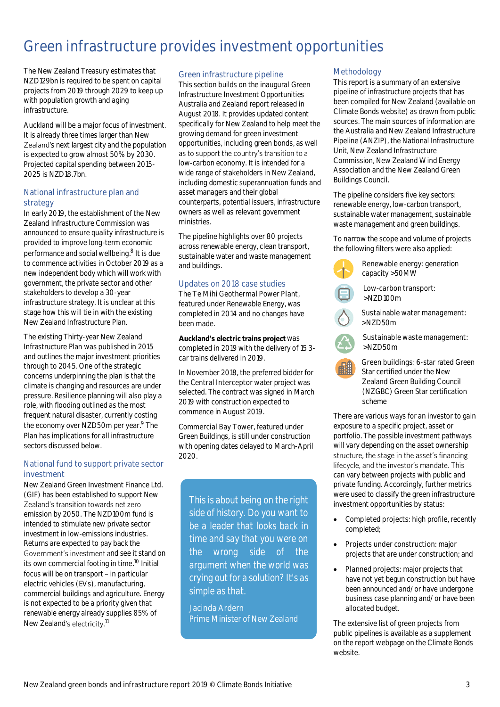## **Green infrastructure provides investment opportunities**

The New Zealand Treasury estimates that NZD129bn is required to be spent on capital projects from 2019 through 2029 to keep up with population growth and aging infrastructure.

Auckland will be a major focus of investment. It is already three times larger than New Zealand's next largest city and the population is expected to grow almost 50% by 2030. Projected capital spending between 2015- 2025 is NZD18.7bn.

### **National infrastructure plan and strategy**

In early 2019, the establishment of the New Zealand Infrastructure Commission was announced to ensure quality infrastructure is provided to improve long-term economic performance and social wellbeing. 8 It is due to commence activities in October 2019 as a new independent body which will work with government, the private sector and other stakeholders to develop a 30-year infrastructure strategy. It is unclear at this stage how this will tie in with the existing New Zealand Infrastructure Plan.

The existing Thirty-year New Zealand Infrastructure Plan was published in 2015 and outlines the major investment priorities through to 2045. One of the strategic concerns underpinning the plan is that the climate is changing and resources are under pressure. Resilience planning will also play a role, with flooding outlined as the most frequent natural disaster, currently costing the economy over NZD50m per year.<sup>9</sup> The Plan has implications for all infrastructure sectors discussed below.

### **National fund to support private sector investment**

New Zealand Green Investment Finance Ltd. (GIF) has been established to support New Zealand's transition towards net zero emission by 2050. The NZD100m fund is intended to stimulate new private sector investment in low-emissions industries. Returns are expected to pay back the Government's investment and see it stand on its own commercial footing in time.<sup>10</sup> Initial focus will be on transport  $-$  in particular electric vehicles (EVs), manufacturing, commercial buildings and agriculture. Energy is not expected to be a priority given that renewable energy already supplies 85% of New Zealand's electricity.<sup>11</sup>

### **Green infrastructure pipeline**

This section builds on the inaugura[l Green](https://www.climatebonds.net/resources/reports/green-infrastructure-investment-opportunities-australia-and-new-zealand)  [Infrastructure Investment Opportunities](https://www.climatebonds.net/resources/reports/green-infrastructure-investment-opportunities-australia-and-new-zealand)  [Australia and Zealand](https://www.climatebonds.net/resources/reports/green-infrastructure-investment-opportunities-australia-and-new-zealand) report released in August 2018. It provides updated content specifically for New Zealand to help meet the growing demand for green investment opportunities, including green bonds, as well as to support the country's transition to a low-carbon economy. It is intended for a wide range of stakeholders in New Zealand, including domestic superannuation funds and asset managers and their global counterparts, potential issuers, infrastructure owners as well as relevant government ministries.

The pipeline highlights over 80 projects across renewable energy, clean transport, sustainable water and waste management and buildings.

### **Updates on 2018 case studies**

**The Te Mihi Geothermal Power Plant**, featured under Renewable Energy, was completed in 2014 and no changes have been made.

### Auckland's electric trains project was

completed in 2019 with the delivery of 15 3 car trains delivered in 2019.

In November 2018, the preferred bidder for the **Central Interceptor** water project was selected. The contract was signed in March 2019 with construction expected to commence in August 2019.

**Commercial Bay Tower**, featured under Green Buildings, is still under construction with opening dates delayed to March-April 2020.

*This is about being on the right side of history. Do you want to be a leader that looks back in time and say that you were on the wrong side of the argument when the world was crying out for a solution? It's as simple as that.*

**Jacinda Ardern** Prime Minister of New Zealand

### **Methodology**

This report is a summary of an extensive pipeline of infrastructure projects that has been compiled for New Zealand (available on Climate Bonds website) as drawn from public sources. The main sources of information are the Australia and New Zealand Infrastructure Pipeline (ANZIP), the National Infrastructure Unit, New Zealand Infrastructure Commission, New Zealand Wind Energy Association and the New Zealand Green Buildings Council.

The pipeline considers five key sectors: renewable energy, low-carbon transport, sustainable water management, sustainable waste management and green buildings.

To narrow the scope and volume of projects the following filters were also applied:



**Low-carbon transport**: >NZD100m

**Sustainable water management**: >NZD50m



**Sustainable waste management**: >NZD50m

**Green buildings**: 6-star rated Green Star certified under the New Zealand Green Building Council (NZGBC) Green Star certification scheme

There are various ways for an investor to gain exposure to a specific project, asset or portfolio. The possible investment pathways will vary depending on the asset ownership structure, the stage in the asset's financing lifecycle, and the investor's mandate. This can vary between projects with public and private funding. Accordingly, further metrics were used to classify the green infrastructure investment opportunities by status:

- **Completed projects**: high profile, recently completed;
- **Projects under construction**: major projects that are under construction; and
- **Planned projects**: major projects that have not yet begun construction but have been announced and/or have undergone business case planning and/or have been allocated budget.

The extensive list of green projects from public pipelines is available as a supplement on the report webpage on the Climate Bonds website.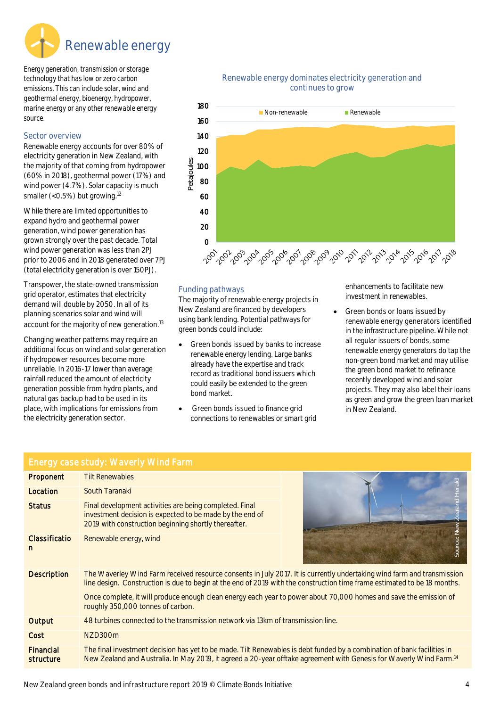

*Energy generation, transmission or storage technology that has low or zero carbon emissions. This can include solar, wind and geothermal energy, bioenergy, hydropower, marine energy or any other renewable energy source.*

### **Sector overview**

Renewable energy accounts for over 80% of electricity generation in New Zealand, with the majority of that coming from hydropower (60% in 2018), geothermal power (17%) and wind power (4.7%). Solar capacity is much smaller (<0.5%) but growing.<sup>12</sup>

While there are limited opportunities to expand hydro and geothermal power generation, wind power generation has grown strongly over the past decade. Total wind power generation was less than 2PJ prior to 2006 and in 2018 generated over 7PJ (total electricity generation is over 150PJ).

Transpower, the state-owned transmission grid operator, estimates that electricity demand will double by 2050. In all of its planning scenarios solar and wind will account for the majority of new generation.<sup>13</sup>

Changing weather patterns may require an additional focus on wind and solar generation if hydropower resources become more unreliable. In 2016-17 lower than average rainfall reduced the amount of electricity generation possible from hydro plants, and natural gas backup had to be used in its place, with implications for emissions from the electricity generation sector.

### **Renewable energy dominates electricity generation and continues to grow**



### **Funding pathways**

The majority of renewable energy projects in New Zealand are financed by developers using bank lending. Potential pathways for green bonds could include:

- **Green bonds issued by banks** to increase renewable energy lending. Large banks already have the expertise and track record as traditional bond issuers which could easily be extended to the green bond market.
- **Green bonds issued** to finance grid connections to renewables or smart grid

enhancements to facilitate new investment in renewables.

• **Green bonds or loans issued by renewable energy generators** identified in the infrastructure pipeline. While not all regular issuers of bonds, some renewable energy generators do tap the non-green bond market and may utilise the green bond market to refinance recently developed wind and solar projects. They may also label their loans as green and grow the green loan market in New Zealand.

|                           | Energy case study: Waverly Wind Farm                                                                                                                                                                                                                                                                                                                                                                         |                                                             |
|---------------------------|--------------------------------------------------------------------------------------------------------------------------------------------------------------------------------------------------------------------------------------------------------------------------------------------------------------------------------------------------------------------------------------------------------------|-------------------------------------------------------------|
| Proponent                 | <b>Tilt Renewables</b>                                                                                                                                                                                                                                                                                                                                                                                       |                                                             |
| Location                  | South Taranaki                                                                                                                                                                                                                                                                                                                                                                                               | era                                                         |
| <b>Status</b>             | Final development activities are being completed. Final<br>investment decision is expected to be made by the end of<br>2019 with construction beginning shortly thereafter.                                                                                                                                                                                                                                  | $\overline{\circ}$<br>$\overline{\sigma}$<br>$\overline{a}$ |
| <b>Classificatio</b><br>n | Renewable energy, wind                                                                                                                                                                                                                                                                                                                                                                                       | Source: New Z                                               |
| <b>Description</b>        | The Waverley Wind Farm received resource consents in July 2017. It is currently undertaking wind farm and transmission<br>line design. Construction is due to begin at the end of 2019 with the construction time frame estimated to be 18 months.<br>Once complete, it will produce enough clean energy each year to power about 70,000 homes and save the emission of<br>roughly 350,000 tonnes of carbon. |                                                             |
| Output                    | 48 turbines connected to the transmission network via 13km of transmission line.                                                                                                                                                                                                                                                                                                                             |                                                             |
| Cost                      | NZD300m                                                                                                                                                                                                                                                                                                                                                                                                      |                                                             |
| Financial<br>structure    | The final investment decision has yet to be made. Tilt Renewables is debt funded by a combination of bank facilities in<br>New Zealand and Australia. In May 2019, it agreed a 20-year offtake agreement with Genesis for Waverly Wind Farm. <sup>14</sup>                                                                                                                                                   |                                                             |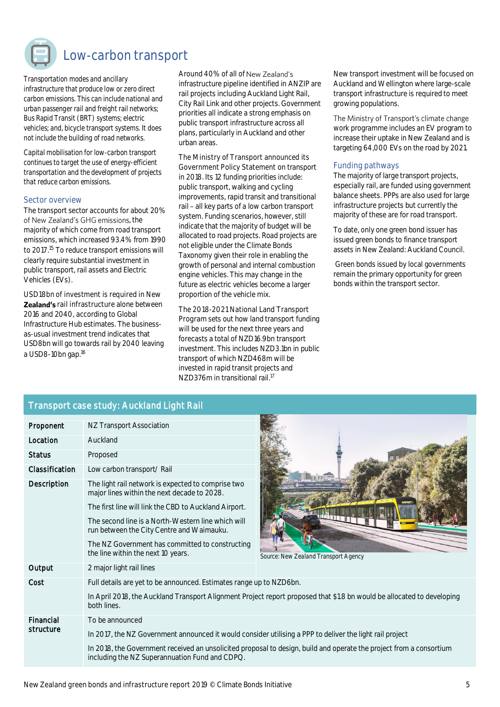

### **Low-carbon transport**

*Transportation modes and ancillary infrastructure that produce low or zero direct carbon emissions. This can include national and urban passenger rail and freight rail networks; Bus Rapid Transit (BRT) systems; electric vehicles; and, bicycle transport systems. It does not include the building of road networks.*

*Capital mobilisation for low-carbon transport continues to target the use of energy-efficient transportation and the development of projects that reduce carbon emissions.* 

#### **Sector overview**

The transport sector accounts for about 20% of New Zealand's GHG emissions, the majority of which come from road transport emissions, which increased 93.4% from 1990 to 2017. <sup>15</sup> To reduce transport emissions will clearly require substantial investment in public transport, rail assets and Electric Vehicles (EVs).

**USD18bn of investment is required in New Zealand's** rail infrastructure alone between 2016 and 2040, according to Global Infrastructure Hub estimates. The businessas-usual investment trend indicates that USD8bn will go towards rail by 2040 leaving a USD8-10bn gap.<sup>16</sup>

Around 40% of all of New Zealand's infrastructure pipeline identified in ANZIP are rail projects including Auckland Light Rail, City Rail Link and other projects. Government priorities all indicate a strong emphasis on public transport infrastructure across all plans, particularly in Auckland and other urban areas.

**The Ministry of Transport announced its Government Policy Statement** on transport in 2018. Its 12 funding priorities include: public transport, walking and cycling improvements, rapid transit and transitional rail - all key parts of a low carbon transport system. Funding scenarios, however, still indicate that the majority of budget will be allocated to road projects. Road projects are not eligible under the Climate Bonds Taxonomy given their role in enabling the growth of personal and internal combustion engine vehicles. This may change in the future as electric vehicles become a larger proportion of the vehicle mix.

**The 2018-2021 National Land Transport Program** sets out how land transport funding will be used for the next three years and forecasts a total of NZD16.9bn transport investment. This includes NZD3.1bn in public transport of which NZD468m will be invested in rapid transit projects and NZD376m in transitional rail. 17

New transport investment will be focused on Auckland and Wellington where large-scale transport infrastructure is required to meet growing populations.

The Ministry of Transport's climate change work programme includes an EV program to increase their uptake in New Zealand and is targeting 64,000 EVs on the road by 2021.

### **Funding pathways**

The majority of large transport projects, especially rail, are funded using government balance sheets. PPPs are also used for large infrastructure projects but currently the majority of these are for road transport.

To date, only one green bond issuer has issued green bonds to finance transport assets in New Zealand: Auckland Council.

Green bonds issued by local governments remain the primary opportunity for green bonds within the transport sector.

### **Transport case study: Auckland Light Rail**

| Proponent              | NZ Transport Association                                                                                                                                                                                                                                                                                                                               |                                                                                                                        |  |  |  |
|------------------------|--------------------------------------------------------------------------------------------------------------------------------------------------------------------------------------------------------------------------------------------------------------------------------------------------------------------------------------------------------|------------------------------------------------------------------------------------------------------------------------|--|--|--|
| Location               | Auckland                                                                                                                                                                                                                                                                                                                                               |                                                                                                                        |  |  |  |
| <b>Status</b>          | Proposed                                                                                                                                                                                                                                                                                                                                               |                                                                                                                        |  |  |  |
| Classification         | Low carbon transport/ Rail                                                                                                                                                                                                                                                                                                                             |                                                                                                                        |  |  |  |
| Description            | The light rail network is expected to comprise two<br>major lines within the next decade to 2028.<br>The first line will link the CBD to Auckland Airport.<br>The second line is a North-Western line which will<br>run between the City Centre and Waimauku.<br>The NZ Government has committed to constructing<br>the line within the next 10 years. | Source: New Zealand Transport Agency                                                                                   |  |  |  |
| Output                 | 2 major light rail lines                                                                                                                                                                                                                                                                                                                               |                                                                                                                        |  |  |  |
| Cost                   | Full details are yet to be announced. Estimates range up to NZD6bn.<br>both lines.                                                                                                                                                                                                                                                                     | In April 2018, the Auckland Transport Alignment Project report proposed that \$1.8 bn would be allocated to developing |  |  |  |
| Financial<br>structure | To be announced<br>In 2017, the NZ Government announced it would consider utilising a PPP to deliver the light rail project                                                                                                                                                                                                                            |                                                                                                                        |  |  |  |
|                        | In 2018, the Government received an unsolicited proposal to design, build and operate the project from a consortium                                                                                                                                                                                                                                    |                                                                                                                        |  |  |  |



**New Zealand Transport Agency** 

including the NZ Superannuation Fund and CDPQ.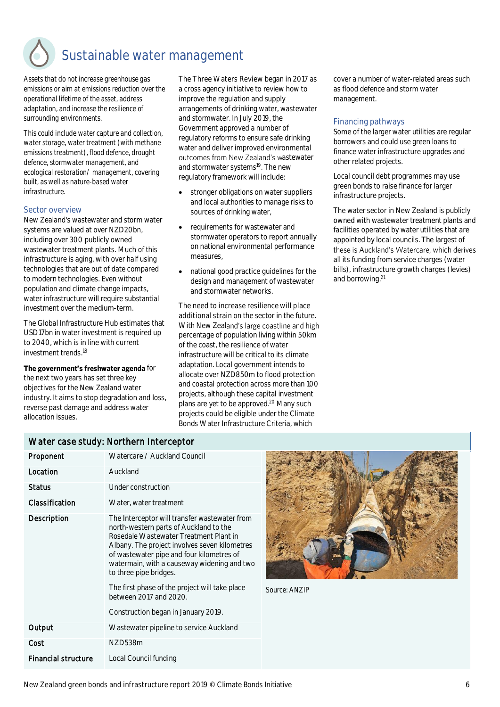### **Sustainable water management**

*Assets that do not increase greenhouse gas emissions or aim at emissions reduction over the operational lifetime of the asset, address adaptation, and increase the resilience of surrounding environments.* 

*This could include water capture and collection, water storage, water treatment (with methane emissions treatment), flood defence, drought defence, stormwater management, and ecological restoration/ management, covering built, as well as nature-based water infrastructure.*

#### **Sector overview**

New Zealand's wastewater and storm water systems are valued at over NZD20bn, including over 300 publicly owned wastewater treatment plants. Much of this infrastructure is aging, with over half using technologies that are out of date compared to modern technologies. Even without population and climate change impacts, water infrastructure will require substantial investment over the medium-term.

The Global Infrastructure Hub estimates that USD17bn in water investment is required up to 2040, which is in line with current investment trends. 18

The government's freshwater agenda for

the next two years has set three key objectives for the New Zealand water industry. It aims to stop degradation and loss, reverse past damage and address water allocation issues.

**The Three Waters Review** began in 2017 as a cross agency initiative to review how to improve the regulation and supply arrangements of drinking water, wastewater and stormwater. In July 2019, the Government approved a number of regulatory reforms to ensure safe drinking water and deliver improved environmental outcomes from New Zealand's wastewater and stormwater systems<sup>19</sup>. The new regulatory framework will include:

- stronger obligations on water suppliers and local authorities to manage risks to sources of drinking water,
- requirements for wastewater and stormwater operators to report annually on national environmental performance measures,
- national good practice guidelines for the design and management of wastewater and stormwater networks.

**The need to increase resilience will place additional strain** on the sector in the future. With New Zealand's large coastline and high percentage of population living within 50km of the coast, the resilience of water infrastructure will be critical to its climate adaptation. Local government intends to allocate over NZD850m to flood protection and coastal protection across more than 100 projects, although these capital investment plans are yet to be approved. <sup>20</sup> Many such projects could be eligible under the Climate Bonds Water Infrastructure Criteria, which

cover a number of water-related areas such as flood defence and storm water management.

### **Financing pathways**

Some of the larger water utilities are regular borrowers and could use green loans to finance water infrastructure upgrades and other related projects.

Local council debt programmes may use green bonds to raise finance for larger infrastructure projects.

The water sector in New Zealand is publicly owned with wastewater treatment plants and facilities operated by water utilities that are appointed by local councils. The largest of these is Auckland's Watercare, which derives all its funding from service charges (water bills), infrastructure growth charges (levies) and borrowing. 21

### **Water case study: Northern Interceptor**

| Proponent                  | Watercare / Auckland Council                                                                                                                                                                                                                                                                                                                                                                                                |
|----------------------------|-----------------------------------------------------------------------------------------------------------------------------------------------------------------------------------------------------------------------------------------------------------------------------------------------------------------------------------------------------------------------------------------------------------------------------|
| Location                   | Auckland                                                                                                                                                                                                                                                                                                                                                                                                                    |
| Status                     | Under construction                                                                                                                                                                                                                                                                                                                                                                                                          |
| Classification             | Water, water treatment                                                                                                                                                                                                                                                                                                                                                                                                      |
| Description                | The Interceptor will transfer wastewater from<br>north-western parts of Auckland to the<br>Rosedale Wastewater Treatment Plant in<br>Albany. The project involves seven kilometres<br>of wastewater pipe and four kilometres of<br>watermain, with a causeway widening and two<br>to three pipe bridges.<br>The first phase of the project will take place<br>between 2017 and 2020.<br>Construction began in January 2019. |
| Output                     | Wastewater pipeline to service Auckland                                                                                                                                                                                                                                                                                                                                                                                     |
| Cost                       | NZD538m                                                                                                                                                                                                                                                                                                                                                                                                                     |
| <b>Financial structure</b> | Local Council funding                                                                                                                                                                                                                                                                                                                                                                                                       |



*Source: ANZIP*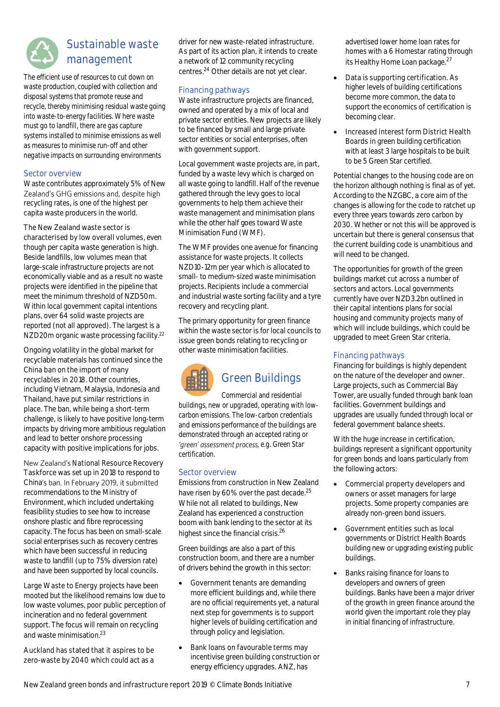

### **Sustainable waste management**

*The efficient use of resources to cut down on waste production, coupled with collection and disposal systems that promote reuse and recycle, thereby minimising residual waste going into waste-to-energy facilities. Where waste must go to landfill, there are gas capture systems installed to minimise emissions as well as measures to minimise run-off and other negative impacts on surrounding environments*

### **Sector overview**

Waste contributes approximately 5% of New Zealand's GHG emissions and, despite high recycling rates, is one of the highest per capita waste producers in the world.

**The New Zealand waste sector is characterised by low overall volumes**, even though per capita waste generation is high. Beside landfills, low volumes mean that large-scale infrastructure projects are not economically viable and as a result no waste projects were identified in the pipeline that meet the minimum threshold of NZD50m. Within local government capital intentions plans, over 64 solid waste projects are reported (not all approved). The largest is a NZD20m organic waste processing facility.<sup>22</sup>

Ongoing volatility in the global market for recyclable materials has continued since the **China ban on the import of many recyclables** in 2018. Other countries, including Vietnam, Malaysia, Indonesia and Thailand, have put similar restrictions in place. The ban, while being a short-term challenge, is likely to have positive long-term impacts by driving more ambitious regulation and lead to better onshore processing capacity with positive implications for jobs.

**New Zealand's National Resource Recovery Taskforce** was set up in 2018 to respond to China's ban. In February 2019, it submitted recommendations to the Ministry of Environment, which included undertaking feasibility studies to see how to increase onshore plastic and fibre reprocessing capacity. The focus has been on small-scale social enterprises such as recovery centres which have been successful in reducing waste to landfill (up to 75% diversion rate) and have been supported by local councils.

**Large Waste to Energy** projects have been mooted but the likelihood remains low due to low waste volumes, poor public perception of incineration and no federal government support. The focus will remain on recycling and waste minimisation.<sup>23</sup>

**Auckland has stated that it aspires to be zero-waste** by 2040 which could act as a driver for new waste-related infrastructure. As part of its action plan, it intends to create a network of 12 community recycling centres.<sup>24</sup> Other details are not yet clear.

### **Financing pathways**

Waste infrastructure projects are financed, owned and operated by a mix of local and private sector entities. New projects are likely to be financed by small and large private sector entities or social enterprises, often with government support.

Local government waste projects are, in part, funded by a waste levy which is charged on all waste going to landfill. Half of the revenue gathered through the levy goes to local governments to help them achieve their waste management and minimisation plans while the other half goes toward Waste Minimisation Fund (WMF).

The WMF provides one avenue for financing assistance for waste projects. It collects NZD10-12m per year which is allocated to small- to medium-sized waste minimisation projects. Recipients include a commercial and industrial waste sorting facility and a tyre recovery and recycling plant.

The primary opportunity for green finance within the waste sector is for local councils to issue green bonds relating to recycling or other waste minimisation facilities.



### **Green Buildings**

*Commercial and residential buildings, new or upgraded, operating with lowcarbon emissions. The low-carbon credentials and emissions performance of the buildings are demonstrated through an accepted rating or*  'green' assessment process, e.g. Green Star *certification.*

### **Sector overview**

Emissions from construction in New Zealand have risen by 60% over the past decade.<sup>25</sup> While not all related to buildings, New Zealand has experienced a construction boom with bank lending to the sector at its highest since the financial crisis.<sup>26</sup>

Green buildings are also a part of this construction boom, and there are a number of drivers behind the growth in this sector:

- **Government tenants** are demanding more efficient buildings and, while there are no official requirements yet, a natural next step for governments is to support higher levels of building certification and through policy and legislation.
- **Bank loans on favourable terms** may incentivise green building construction or energy efficiency upgrades. ANZ, has

advertised lower home loan rates for homes with a 6 Homestar rating through its Healthy Home Loan package.<sup>27</sup>

- **Data is supporting certification**. As higher levels of building certifications become more common, the data to support the economics of certification is becoming clear.
- **Increased interest form District Health Boards** in green building certification with at least 3 large hospitals to be built to be 5 Green Star certified.

Potential changes to the housing code are on the horizon although nothing is final as of yet. According to the NZGBC, a core aim of the changes is allowing for the code to ratchet up every three years towards zero carbon by 2030. Whether or not this will be approved is uncertain but there is general consensus that the current building code is unambitious and will need to be changed.

The opportunities for growth of the green buildings market cut across a number of sectors and actors. Local governments currently have over NZD3.2bn outlined in their capital intentions plans for social housing and community projects many of which will include buildings, which could be upgraded to meet Green Star criteria.

### **Financing pathways**

Financing for buildings is highly dependent on the nature of the developer and owner. Large projects, such as Commercial Bay Tower, are usually funded through bank loan facilities. Government buildings and upgrades are usually funded through local or federal government balance sheets.

With the huge increase in certification, buildings represent a significant opportunity for green bonds and loans particularly from the following actors:

- **Commercial property developers and owners** or asset managers for large projects. Some property companies are already non-green bond issuers.
- **Government entities** such as local governments or District Health Boards building new or upgrading existing public buildings.
- **Banks** raising finance for loans to developers and owners of green buildings. Banks have been a major driver of the growth in green finance around the world given the important role they play in initial financing of infrastructure.